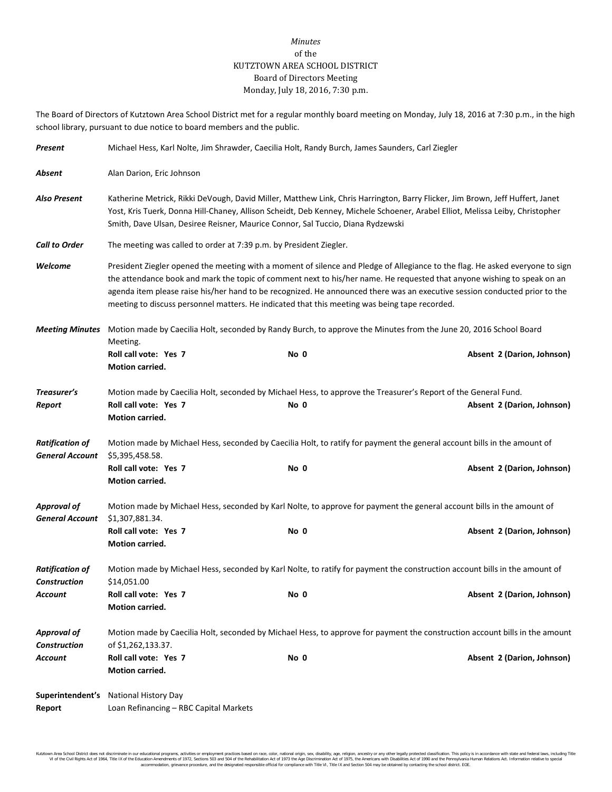## *Minutes* of the KUTZTOWN AREA SCHOOL DISTRICT Board of Directors Meeting Monday, July 18, 2016, 7:30 p.m.

The Board of Directors of Kutztown Area School District met for a regular monthly board meeting on Monday, July 18, 2016 at 7:30 p.m., in the high school library, pursuant to due notice to board members and the public.

| Present                                          | Michael Hess, Karl Nolte, Jim Shrawder, Caecilia Holt, Randy Burch, James Saunders, Carl Ziegler                                                                                                                                                                                                                                                                                                                                                                                        |      |                                                                                                                                              |  |  |  |
|--------------------------------------------------|-----------------------------------------------------------------------------------------------------------------------------------------------------------------------------------------------------------------------------------------------------------------------------------------------------------------------------------------------------------------------------------------------------------------------------------------------------------------------------------------|------|----------------------------------------------------------------------------------------------------------------------------------------------|--|--|--|
| Absent                                           | Alan Darion, Eric Johnson                                                                                                                                                                                                                                                                                                                                                                                                                                                               |      |                                                                                                                                              |  |  |  |
| <b>Also Present</b>                              | Katherine Metrick, Rikki DeVough, David Miller, Matthew Link, Chris Harrington, Barry Flicker, Jim Brown, Jeff Huffert, Janet<br>Yost, Kris Tuerk, Donna Hill-Chaney, Allison Scheidt, Deb Kenney, Michele Schoener, Arabel Elliot, Melissa Leiby, Christopher<br>Smith, Dave Ulsan, Desiree Reisner, Maurice Connor, Sal Tuccio, Diana Rydzewski                                                                                                                                       |      |                                                                                                                                              |  |  |  |
| <b>Call to Order</b>                             | The meeting was called to order at 7:39 p.m. by President Ziegler.                                                                                                                                                                                                                                                                                                                                                                                                                      |      |                                                                                                                                              |  |  |  |
| Welcome                                          | President Ziegler opened the meeting with a moment of silence and Pledge of Allegiance to the flag. He asked everyone to sign<br>the attendance book and mark the topic of comment next to his/her name. He requested that anyone wishing to speak on an<br>agenda item please raise his/her hand to be recognized. He announced there was an executive session conducted prior to the<br>meeting to discuss personnel matters. He indicated that this meeting was being tape recorded. |      |                                                                                                                                              |  |  |  |
| <b>Meeting Minutes</b>                           | Motion made by Caecilia Holt, seconded by Randy Burch, to approve the Minutes from the June 20, 2016 School Board<br>Meeting.                                                                                                                                                                                                                                                                                                                                                           |      |                                                                                                                                              |  |  |  |
|                                                  | Roll call vote: Yes 7<br>Motion carried.                                                                                                                                                                                                                                                                                                                                                                                                                                                | No 0 | Absent 2 (Darion, Johnson)                                                                                                                   |  |  |  |
| Treasurer's<br>Report                            | Roll call vote: Yes 7<br>Motion carried.                                                                                                                                                                                                                                                                                                                                                                                                                                                | No 0 | Motion made by Caecilia Holt, seconded by Michael Hess, to approve the Treasurer's Report of the General Fund.<br>Absent 2 (Darion, Johnson) |  |  |  |
| <b>Ratification of</b><br><b>General Account</b> | Motion made by Michael Hess, seconded by Caecilia Holt, to ratify for payment the general account bills in the amount of<br>\$5,395,458.58.                                                                                                                                                                                                                                                                                                                                             |      |                                                                                                                                              |  |  |  |
|                                                  | Roll call vote: Yes 7<br>Motion carried.                                                                                                                                                                                                                                                                                                                                                                                                                                                | No 0 | Absent 2 (Darion, Johnson)                                                                                                                   |  |  |  |
| <b>Approval of</b><br><b>General Account</b>     | Motion made by Michael Hess, seconded by Karl Nolte, to approve for payment the general account bills in the amount of<br>\$1,307,881.34.                                                                                                                                                                                                                                                                                                                                               |      |                                                                                                                                              |  |  |  |
|                                                  | Roll call vote: Yes 7<br>Motion carried.                                                                                                                                                                                                                                                                                                                                                                                                                                                | No 0 | Absent 2 (Darion, Johnson)                                                                                                                   |  |  |  |
| <b>Ratification of</b><br><b>Construction</b>    | Motion made by Michael Hess, seconded by Karl Nolte, to ratify for payment the construction account bills in the amount of<br>\$14,051.00                                                                                                                                                                                                                                                                                                                                               |      |                                                                                                                                              |  |  |  |
| Account                                          | Roll call vote: Yes 7<br>Motion carried.                                                                                                                                                                                                                                                                                                                                                                                                                                                | No 0 | Absent 2 (Darion, Johnson)                                                                                                                   |  |  |  |
| <b>Approval of</b><br><b>Construction</b>        | Motion made by Caecilia Holt, seconded by Michael Hess, to approve for payment the construction account bills in the amount<br>of \$1,262,133.37.                                                                                                                                                                                                                                                                                                                                       |      |                                                                                                                                              |  |  |  |
| Account                                          | Roll call vote: Yes 7<br><b>Motion carried.</b>                                                                                                                                                                                                                                                                                                                                                                                                                                         | No 0 | Absent 2 (Darion, Johnson)                                                                                                                   |  |  |  |
| Superintendent's<br>Report                       | <b>National History Day</b><br>Loan Refinancing - RBC Capital Markets                                                                                                                                                                                                                                                                                                                                                                                                                   |      |                                                                                                                                              |  |  |  |

Kutzlown Area School District does not discriminate in our oducational programs, activities or employment practices based on ractional origin, sex, disability, so, et also in the about a may be entered in the second of the accommodation, grievance procedure, and the designated responsible official for compliance with Title VI, Title IX and Section 504 may be obtained by contacting the school district. EOE.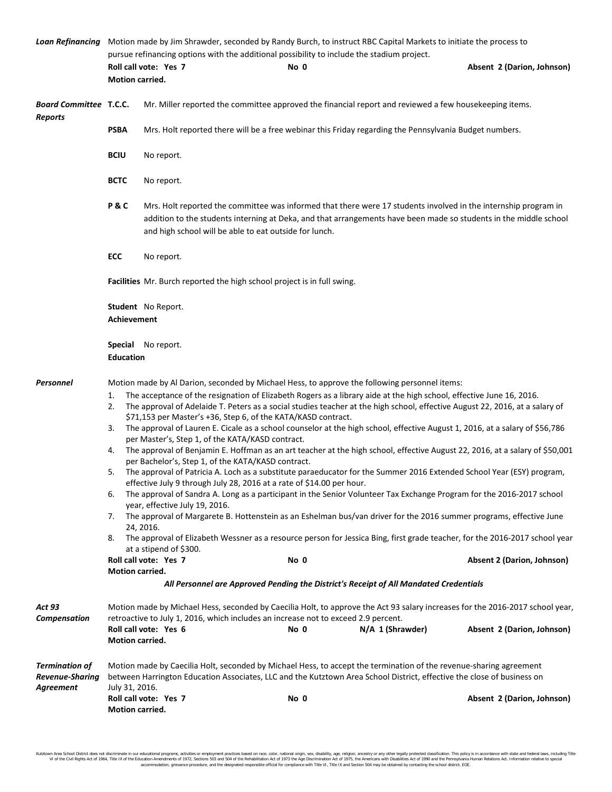|                                                              | Loan Refinancing Motion made by Jim Shrawder, seconded by Randy Burch, to instruct RBC Capital Markets to initiate the process to<br>pursue refinancing options with the additional possibility to include the stadium project.              |                                                                                                                                                                                                                                                                                                                                                                                                                                                                                                                                                                                                                                                                                                                                                                                                                                                                                                                                                                                                                                                                                                                                                                                                                                                                                                                                                                                                                                                                                                                                                                                                                           |                                                                                            |                                                                                                                                                                                 |  |  |  |
|--------------------------------------------------------------|----------------------------------------------------------------------------------------------------------------------------------------------------------------------------------------------------------------------------------------------|---------------------------------------------------------------------------------------------------------------------------------------------------------------------------------------------------------------------------------------------------------------------------------------------------------------------------------------------------------------------------------------------------------------------------------------------------------------------------------------------------------------------------------------------------------------------------------------------------------------------------------------------------------------------------------------------------------------------------------------------------------------------------------------------------------------------------------------------------------------------------------------------------------------------------------------------------------------------------------------------------------------------------------------------------------------------------------------------------------------------------------------------------------------------------------------------------------------------------------------------------------------------------------------------------------------------------------------------------------------------------------------------------------------------------------------------------------------------------------------------------------------------------------------------------------------------------------------------------------------------------|--------------------------------------------------------------------------------------------|---------------------------------------------------------------------------------------------------------------------------------------------------------------------------------|--|--|--|
|                                                              |                                                                                                                                                                                                                                              | Roll call vote: Yes 7                                                                                                                                                                                                                                                                                                                                                                                                                                                                                                                                                                                                                                                                                                                                                                                                                                                                                                                                                                                                                                                                                                                                                                                                                                                                                                                                                                                                                                                                                                                                                                                                     | No 0                                                                                       | Absent 2 (Darion, Johnson)                                                                                                                                                      |  |  |  |
|                                                              | Motion carried.                                                                                                                                                                                                                              |                                                                                                                                                                                                                                                                                                                                                                                                                                                                                                                                                                                                                                                                                                                                                                                                                                                                                                                                                                                                                                                                                                                                                                                                                                                                                                                                                                                                                                                                                                                                                                                                                           |                                                                                            |                                                                                                                                                                                 |  |  |  |
| <b>Board Committee T.C.C.</b>                                |                                                                                                                                                                                                                                              | Mr. Miller reported the committee approved the financial report and reviewed a few housekeeping items.                                                                                                                                                                                                                                                                                                                                                                                                                                                                                                                                                                                                                                                                                                                                                                                                                                                                                                                                                                                                                                                                                                                                                                                                                                                                                                                                                                                                                                                                                                                    |                                                                                            |                                                                                                                                                                                 |  |  |  |
| <b>Reports</b>                                               | <b>PSBA</b>                                                                                                                                                                                                                                  | Mrs. Holt reported there will be a free webinar this Friday regarding the Pennsylvania Budget numbers.                                                                                                                                                                                                                                                                                                                                                                                                                                                                                                                                                                                                                                                                                                                                                                                                                                                                                                                                                                                                                                                                                                                                                                                                                                                                                                                                                                                                                                                                                                                    |                                                                                            |                                                                                                                                                                                 |  |  |  |
|                                                              | <b>BCIU</b>                                                                                                                                                                                                                                  | No report.                                                                                                                                                                                                                                                                                                                                                                                                                                                                                                                                                                                                                                                                                                                                                                                                                                                                                                                                                                                                                                                                                                                                                                                                                                                                                                                                                                                                                                                                                                                                                                                                                |                                                                                            |                                                                                                                                                                                 |  |  |  |
|                                                              | <b>BCTC</b>                                                                                                                                                                                                                                  | No report.                                                                                                                                                                                                                                                                                                                                                                                                                                                                                                                                                                                                                                                                                                                                                                                                                                                                                                                                                                                                                                                                                                                                                                                                                                                                                                                                                                                                                                                                                                                                                                                                                |                                                                                            |                                                                                                                                                                                 |  |  |  |
|                                                              | P&C                                                                                                                                                                                                                                          | Mrs. Holt reported the committee was informed that there were 17 students involved in the internship program in<br>addition to the students interning at Deka, and that arrangements have been made so students in the middle school<br>and high school will be able to eat outside for lunch.                                                                                                                                                                                                                                                                                                                                                                                                                                                                                                                                                                                                                                                                                                                                                                                                                                                                                                                                                                                                                                                                                                                                                                                                                                                                                                                            |                                                                                            |                                                                                                                                                                                 |  |  |  |
|                                                              | ECC                                                                                                                                                                                                                                          | No report.                                                                                                                                                                                                                                                                                                                                                                                                                                                                                                                                                                                                                                                                                                                                                                                                                                                                                                                                                                                                                                                                                                                                                                                                                                                                                                                                                                                                                                                                                                                                                                                                                |                                                                                            |                                                                                                                                                                                 |  |  |  |
|                                                              | Facilities Mr. Burch reported the high school project is in full swing.                                                                                                                                                                      |                                                                                                                                                                                                                                                                                                                                                                                                                                                                                                                                                                                                                                                                                                                                                                                                                                                                                                                                                                                                                                                                                                                                                                                                                                                                                                                                                                                                                                                                                                                                                                                                                           |                                                                                            |                                                                                                                                                                                 |  |  |  |
|                                                              | Student No Report.<br><b>Achievement</b>                                                                                                                                                                                                     |                                                                                                                                                                                                                                                                                                                                                                                                                                                                                                                                                                                                                                                                                                                                                                                                                                                                                                                                                                                                                                                                                                                                                                                                                                                                                                                                                                                                                                                                                                                                                                                                                           |                                                                                            |                                                                                                                                                                                 |  |  |  |
|                                                              | <b>Special</b> No report.<br><b>Education</b>                                                                                                                                                                                                |                                                                                                                                                                                                                                                                                                                                                                                                                                                                                                                                                                                                                                                                                                                                                                                                                                                                                                                                                                                                                                                                                                                                                                                                                                                                                                                                                                                                                                                                                                                                                                                                                           |                                                                                            |                                                                                                                                                                                 |  |  |  |
| Personnel                                                    | 1.<br>2.<br>3.<br>4.<br>5.<br>6.<br>7.<br>8.<br><b>Motion carried.</b>                                                                                                                                                                       | Motion made by Al Darion, seconded by Michael Hess, to approve the following personnel items:<br>The acceptance of the resignation of Elizabeth Rogers as a library aide at the high school, effective June 16, 2016.<br>The approval of Adelaide T. Peters as a social studies teacher at the high school, effective August 22, 2016, at a salary of<br>\$71,153 per Master's +36, Step 6, of the KATA/KASD contract.<br>The approval of Lauren E. Cicale as a school counselor at the high school, effective August 1, 2016, at a salary of \$56,786<br>per Master's, Step 1, of the KATA/KASD contract.<br>The approval of Benjamin E. Hoffman as an art teacher at the high school, effective August 22, 2016, at a salary of \$50,001<br>per Bachelor's, Step 1, of the KATA/KASD contract.<br>The approval of Patricia A. Loch as a substitute paraeducator for the Summer 2016 Extended School Year (ESY) program,<br>effective July 9 through July 28, 2016 at a rate of \$14.00 per hour.<br>The approval of Sandra A. Long as a participant in the Senior Volunteer Tax Exchange Program for the 2016-2017 school<br>year, effective July 19, 2016.<br>The approval of Margarete B. Hottenstein as an Eshelman bus/van driver for the 2016 summer programs, effective June<br>24, 2016.<br>The approval of Elizabeth Wessner as a resource person for Jessica Bing, first grade teacher, for the 2016-2017 school year<br>at a stipend of \$300.<br>Roll call vote: Yes 7<br>No 0<br><b>Absent 2 (Darion, Johnson)</b><br>All Personnel are Approved Pending the District's Receipt of All Mandated Credentials |                                                                                            |                                                                                                                                                                                 |  |  |  |
|                                                              |                                                                                                                                                                                                                                              |                                                                                                                                                                                                                                                                                                                                                                                                                                                                                                                                                                                                                                                                                                                                                                                                                                                                                                                                                                                                                                                                                                                                                                                                                                                                                                                                                                                                                                                                                                                                                                                                                           |                                                                                            |                                                                                                                                                                                 |  |  |  |
| <b>Act 93</b><br>Compensation                                | Motion carried.                                                                                                                                                                                                                              | Roll call vote: Yes 6                                                                                                                                                                                                                                                                                                                                                                                                                                                                                                                                                                                                                                                                                                                                                                                                                                                                                                                                                                                                                                                                                                                                                                                                                                                                                                                                                                                                                                                                                                                                                                                                     | retroactive to July 1, 2016, which includes an increase not to exceed 2.9 percent.<br>No 0 | Motion made by Michael Hess, seconded by Caecilia Holt, to approve the Act 93 salary increases for the 2016-2017 school year,<br>N/A 1 (Shrawder)<br>Absent 2 (Darion, Johnson) |  |  |  |
| <b>Termination of</b><br><b>Revenue-Sharing</b><br>Agreement | Motion made by Caecilia Holt, seconded by Michael Hess, to accept the termination of the revenue-sharing agreement<br>between Harrington Education Associates, LLC and the Kutztown Area School District, effective the close of business on |                                                                                                                                                                                                                                                                                                                                                                                                                                                                                                                                                                                                                                                                                                                                                                                                                                                                                                                                                                                                                                                                                                                                                                                                                                                                                                                                                                                                                                                                                                                                                                                                                           |                                                                                            |                                                                                                                                                                                 |  |  |  |
|                                                              | July 31, 2016.<br>Motion carried.                                                                                                                                                                                                            | Roll call vote: Yes 7                                                                                                                                                                                                                                                                                                                                                                                                                                                                                                                                                                                                                                                                                                                                                                                                                                                                                                                                                                                                                                                                                                                                                                                                                                                                                                                                                                                                                                                                                                                                                                                                     | No 0                                                                                       | Absent 2 (Darion, Johnson)                                                                                                                                                      |  |  |  |

Kutztown Area School District does not discriminate in our educational programs, activities or employment practices based on race, color, national origin, sex, disability, age, religion, ancestry or any other legally prot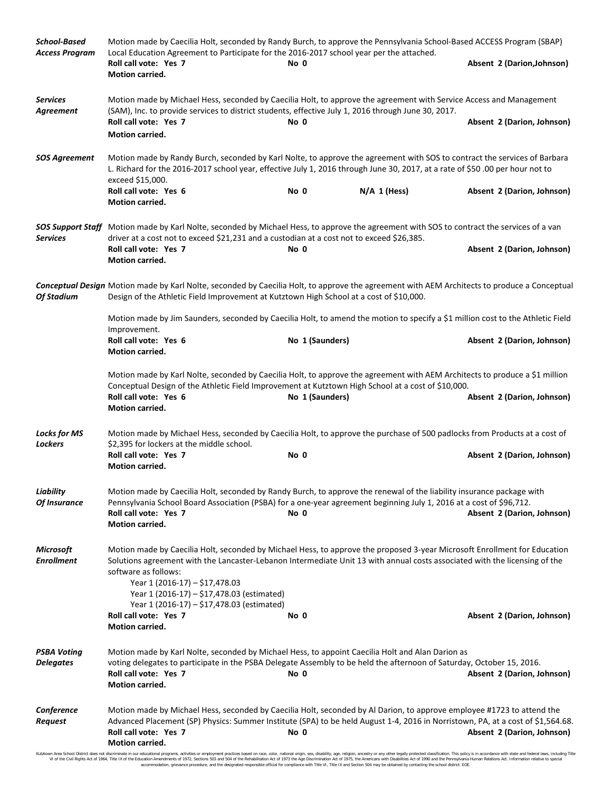| <b>School-Based</b><br><b>Access Program</b> | Motion made by Caecilia Holt, seconded by Randy Burch, to approve the Pennsylvania School-Based ACCESS Program (SBAP)<br>Local Education Agreement to Participate for the 2016-2017 school year per the attached.                                                                                                              |                 |                |                            |  |  |  |
|----------------------------------------------|--------------------------------------------------------------------------------------------------------------------------------------------------------------------------------------------------------------------------------------------------------------------------------------------------------------------------------|-----------------|----------------|----------------------------|--|--|--|
|                                              | Roll call vote: Yes 7<br>Motion carried.                                                                                                                                                                                                                                                                                       | No 0            |                | Absent 2 (Darion, Johnson) |  |  |  |
| <b>Services</b><br>Agreement                 | Motion made by Michael Hess, seconded by Caecilia Holt, to approve the agreement with Service Access and Management<br>(SAM), Inc. to provide services to district students, effective July 1, 2016 through June 30, 2017.                                                                                                     |                 |                |                            |  |  |  |
|                                              | Roll call vote: Yes 7<br>Motion carried.                                                                                                                                                                                                                                                                                       | No 0            |                | Absent 2 (Darion, Johnson) |  |  |  |
| <b>SOS Agreement</b>                         | Motion made by Randy Burch, seconded by Karl Nolte, to approve the agreement with SOS to contract the services of Barbara<br>L. Richard for the 2016-2017 school year, effective July 1, 2016 through June 30, 2017, at a rate of \$50 .00 per hour not to<br>exceed \$15,000.                                                 |                 |                |                            |  |  |  |
|                                              | Roll call vote: Yes 6<br>Motion carried.                                                                                                                                                                                                                                                                                       | No 0            | $N/A$ 1 (Hess) | Absent 2 (Darion, Johnson) |  |  |  |
| Services                                     | SOS Support Staff Motion made by Karl Nolte, seconded by Michael Hess, to approve the agreement with SOS to contract the services of a van<br>driver at a cost not to exceed \$21,231 and a custodian at a cost not to exceed \$26,385.                                                                                        |                 |                |                            |  |  |  |
|                                              | Roll call vote: Yes 7<br>Motion carried.                                                                                                                                                                                                                                                                                       | No 0            |                | Absent 2 (Darion, Johnson) |  |  |  |
| <b>Of Stadium</b>                            | Conceptual Design Motion made by Karl Nolte, seconded by Caecilia Holt, to approve the agreement with AEM Architects to produce a Conceptual<br>Design of the Athletic Field Improvement at Kutztown High School at a cost of \$10,000.                                                                                        |                 |                |                            |  |  |  |
|                                              | Motion made by Jim Saunders, seconded by Caecilia Holt, to amend the motion to specify a \$1 million cost to the Athletic Field<br>Improvement.                                                                                                                                                                                |                 |                |                            |  |  |  |
|                                              | Roll call vote: Yes 6<br>Motion carried.                                                                                                                                                                                                                                                                                       | No 1 (Saunders) |                | Absent 2 (Darion, Johnson) |  |  |  |
|                                              | Motion made by Karl Nolte, seconded by Caecilia Holt, to approve the agreement with AEM Architects to produce a \$1 million<br>Conceptual Design of the Athletic Field Improvement at Kutztown High School at a cost of \$10,000.                                                                                              |                 |                |                            |  |  |  |
|                                              | Roll call vote: Yes 6<br>Motion carried.                                                                                                                                                                                                                                                                                       | No 1 (Saunders) |                | Absent 2 (Darion, Johnson) |  |  |  |
| <b>Locks for MS</b><br><b>Lockers</b>        | Motion made by Michael Hess, seconded by Caecilia Holt, to approve the purchase of 500 padlocks from Products at a cost of<br>\$2,395 for lockers at the middle school.                                                                                                                                                        |                 |                |                            |  |  |  |
|                                              | Roll call vote: Yes 7<br>Motion carried.                                                                                                                                                                                                                                                                                       | No 0            |                | Absent 2 (Darion, Johnson) |  |  |  |
| Liability<br>Of Insurance                    | Motion made by Caecilia Holt, seconded by Randy Burch, to approve the renewal of the liability insurance package with<br>Pennsylvania School Board Association (PSBA) for a one-year agreement beginning July 1, 2016 at a cost of \$96,712.<br>Roll call vote: Yes 7<br>Absent 2 (Darion, Johnson)<br>No 0<br>Motion carried. |                 |                |                            |  |  |  |
| <b>Microsoft</b><br><b>Enrollment</b>        | Motion made by Caecilia Holt, seconded by Michael Hess, to approve the proposed 3-year Microsoft Enrollment for Education<br>Solutions agreement with the Lancaster-Lebanon Intermediate Unit 13 with annual costs associated with the licensing of the<br>software as follows:                                                |                 |                |                            |  |  |  |
|                                              | Year 1 (2016-17) - \$17,478.03<br>Year 1 (2016-17) - \$17,478.03 (estimated)<br>Year 1 (2016-17) - \$17,478.03 (estimated)                                                                                                                                                                                                     |                 |                |                            |  |  |  |
|                                              | Roll call vote: Yes 7<br>Motion carried.                                                                                                                                                                                                                                                                                       | No 0            |                | Absent 2 (Darion, Johnson) |  |  |  |
| <b>PSBA Voting</b><br><b>Delegates</b>       | Motion made by Karl Nolte, seconded by Michael Hess, to appoint Caecilia Holt and Alan Darion as<br>voting delegates to participate in the PSBA Delegate Assembly to be held the afternoon of Saturday, October 15, 2016.<br>Roll call vote: Yes 7<br>Motion carried.                                                          | No 0            |                | Absent 2 (Darion, Johnson) |  |  |  |
| Conference<br>Request                        | Motion made by Michael Hess, seconded by Caecilia Holt, seconded by Al Darion, to approve employee #1723 to attend the<br>Advanced Placement (SP) Physics: Summer Institute (SPA) to be held August 1-4, 2016 in Norristown, PA, at a cost of \$1,564.68.<br>Roll call vote: Yes 7<br>Motion carried.                          | No 0            |                | Absent 2 (Darion, Johnson) |  |  |  |

Kutztown Area School District does not discriminate in our educational programs, activities or employment practices based on race, color, national origin, sex, disability, age, religion, ancestry or any other legally prot